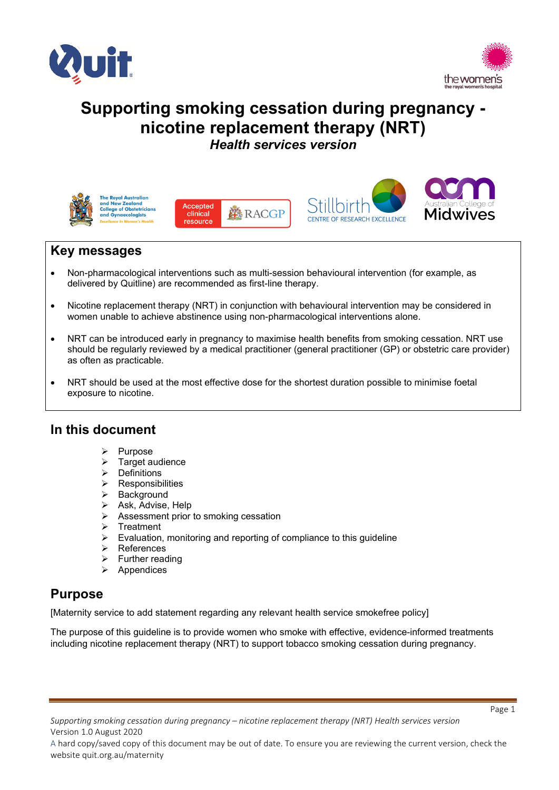



# **Supporting smoking cessation during pregnancy nicotine replacement therapy (NRT)** *Health services version*



**The Royal Australian** and New Zealand **College of Obstetricians** and Gynaecologists







Page 1

## **Key messages**

- Non-pharmacological interventions such as multi-session behavioural intervention (for example, as delivered by Quitline) are recommended as first-line therapy.
- Nicotine replacement therapy (NRT) in conjunction with behavioural intervention may be considered in women unable to achieve abstinence using non-pharmacological interventions alone.
- NRT can be introduced early in pregnancy to maximise health benefits from smoking cessation. NRT use should be regularly reviewed by a medical practitioner (general practitioner (GP) or obstetric care provider) as often as practicable.
- NRT should be used at the most effective dose for the shortest duration possible to minimise foetal exposure to nicotine.

## **In this document**

- $\triangleright$  Purpose
- $\triangleright$  Target audience
- $\triangleright$  Definitions
- $\triangleright$  Responsibilities
- $\triangleright$  Background
- $\triangleright$  Ask, Advise, Help
- $\triangleright$  Assessment prior to smoking cessation
- $\triangleright$  Treatment
- $\triangleright$  Evaluation, monitoring and reporting of compliance to this guideline
- **▶ References**
- $\triangleright$  Further reading
- $\triangleright$  Appendices

## **Purpose**

[Maternity service to add statement regarding any relevant health service smokefree policy]

The purpose of this guideline is to provide women who smoke with effective, evidence-informed treatments including nicotine replacement therapy (NRT) to support tobacco smoking cessation during pregnancy.

*Supporting smoking cessation during pregnancy – nicotine replacement therapy (NRT) Health services version*  Version 1.0 August 2020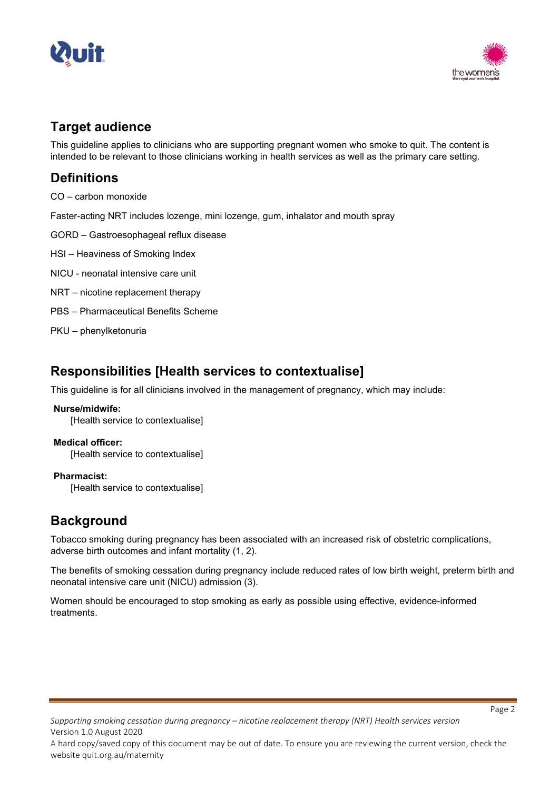



## **Target audience**

This guideline applies to clinicians who are supporting pregnant women who smoke to quit. The content is intended to be relevant to those clinicians working in health services as well as the primary care setting.

## **Definitions**

CO – carbon monoxide

Faster-acting NRT includes lozenge, mini lozenge, gum, inhalator and mouth spray

GORD – Gastroesophageal reflux disease

HSI – Heaviness of Smoking Index

NICU - neonatal intensive care unit

- NRT nicotine replacement therapy
- PBS Pharmaceutical Benefits Scheme

PKU – phenylketonuria

## **Responsibilities [Health services to contextualise]**

This guideline is for all clinicians involved in the management of pregnancy, which may include:

## **Nurse/midwife:**

[Health service to contextualise]

## **Medical officer:**

[Health service to contextualise]

## **Pharmacist:**

[Health service to contextualise]

## **Background**

Tobacco smoking during pregnancy has been associated with an increased risk of obstetric complications, adverse birth outcomes and infant mortality (1, 2).

The benefits of smoking cessation during pregnancy include reduced rates of low birth weight, preterm birth and neonatal intensive care unit (NICU) admission (3).

Women should be encouraged to stop smoking as early as possible using effective, evidence-informed treatments.

*Supporting smoking cessation during pregnancy – nicotine replacement therapy (NRT) Health services version*  Version 1.0 August 2020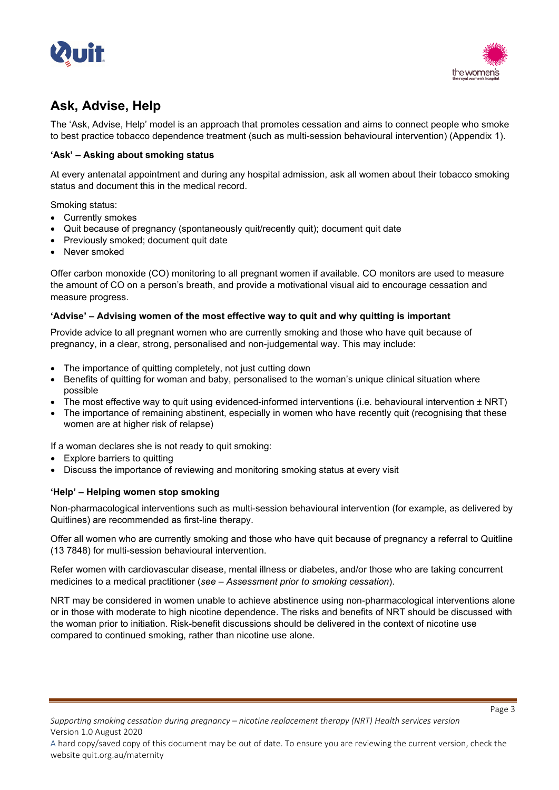



# **Ask, Advise, Help**

The 'Ask, Advise, Help' model is an approach that promotes cessation and aims to connect people who smoke to best practice tobacco dependence treatment (such as multi-session behavioural intervention) (Appendix 1).

## **'Ask' – Asking about smoking status**

At every antenatal appointment and during any hospital admission, ask all women about their tobacco smoking status and document this in the medical record.

Smoking status:

- Currently smokes
- Quit because of pregnancy (spontaneously quit/recently quit); document quit date
- Previously smoked; document quit date
- Never smoked

Offer carbon monoxide (CO) monitoring to all pregnant women if available. CO monitors are used to measure the amount of CO on a person's breath, and provide a motivational visual aid to encourage cessation and measure progress.

## **'Advise' – Advising women of the most effective way to quit and why quitting is important**

Provide advice to all pregnant women who are currently smoking and those who have quit because of pregnancy, in a clear, strong, personalised and non-judgemental way. This may include:

- The importance of quitting completely, not just cutting down
- Benefits of quitting for woman and baby, personalised to the woman's unique clinical situation where possible
- The most effective way to quit using evidenced-informed interventions (i.e. behavioural intervention ± NRT)
- The importance of remaining abstinent, especially in women who have recently quit (recognising that these women are at higher risk of relapse)

If a woman declares she is not ready to quit smoking:

- Explore barriers to quitting
- Discuss the importance of reviewing and monitoring smoking status at every visit

## **'Help' – Helping women stop smoking**

Non-pharmacological interventions such as multi-session behavioural intervention (for example, as delivered by Quitlines) are recommended as first-line therapy.

Offer all women who are currently smoking and those who have quit because of pregnancy a referral to Quitline (13 7848) for multi-session behavioural intervention.

Refer women with cardiovascular disease, mental illness or diabetes, and/or those who are taking concurrent medicines to a medical practitioner (*see – Assessment prior to smoking cessation*).

NRT may be considered in women unable to achieve abstinence using non-pharmacological interventions alone or in those with moderate to high nicotine dependence. The risks and benefits of NRT should be discussed with the woman prior to initiation. Risk-benefit discussions should be delivered in the context of nicotine use compared to continued smoking, rather than nicotine use alone.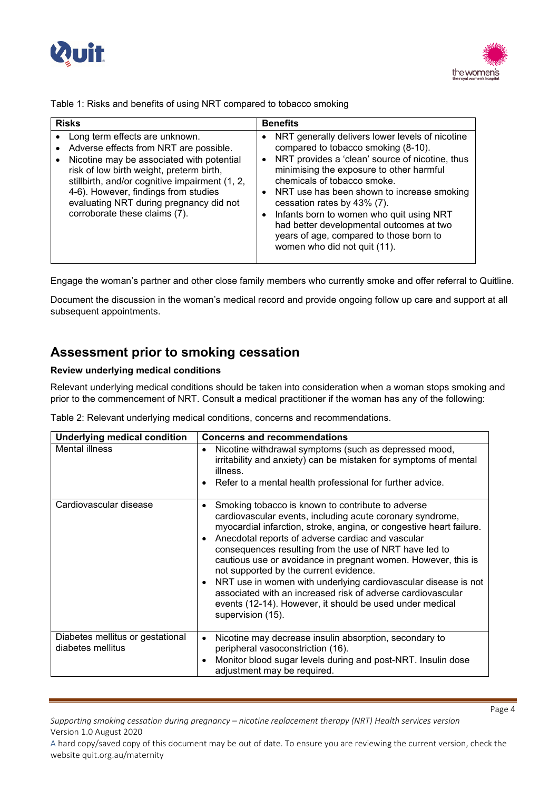



Table 1: Risks and benefits of using NRT compared to tobacco smoking

| <b>Risks</b>                                                                                                                                                                                                                                                                                                                                         | <b>Benefits</b>                                                                                                                                                                                                                                                                                                                                                                                                                                                                                                          |
|------------------------------------------------------------------------------------------------------------------------------------------------------------------------------------------------------------------------------------------------------------------------------------------------------------------------------------------------------|--------------------------------------------------------------------------------------------------------------------------------------------------------------------------------------------------------------------------------------------------------------------------------------------------------------------------------------------------------------------------------------------------------------------------------------------------------------------------------------------------------------------------|
| Long term effects are unknown.<br>$\bullet$<br>Adverse effects from NRT are possible.<br>Nicotine may be associated with potential<br>risk of low birth weight, preterm birth,<br>stillbirth, and/or cognitive impairment (1, 2,<br>4-6). However, findings from studies<br>evaluating NRT during pregnancy did not<br>corroborate these claims (7). | NRT generally delivers lower levels of nicotine<br>$\bullet$<br>compared to tobacco smoking (8-10).<br>NRT provides a 'clean' source of nicotine, thus<br>$\bullet$<br>minimising the exposure to other harmful<br>chemicals of tobacco smoke.<br>NRT use has been shown to increase smoking<br>$\bullet$<br>cessation rates by 43% (7).<br>Infants born to women who quit using NRT<br>$\bullet$<br>had better developmental outcomes at two<br>years of age, compared to those born to<br>women who did not quit (11). |

Engage the woman's partner and other close family members who currently smoke and offer referral to Quitline.

Document the discussion in the woman's medical record and provide ongoing follow up care and support at all subsequent appointments.

## **Assessment prior to smoking cessation**

## **Review underlying medical conditions**

Relevant underlying medical conditions should be taken into consideration when a woman stops smoking and prior to the commencement of NRT. Consult a medical practitioner if the woman has any of the following:

Table 2: Relevant underlying medical conditions, concerns and recommendations.

| <b>Underlying medical condition</b>                   | <b>Concerns and recommendations</b>                                                                                                                                                                                                                                                                                                                                                                                                                                                                                                                                                                                                                              |
|-------------------------------------------------------|------------------------------------------------------------------------------------------------------------------------------------------------------------------------------------------------------------------------------------------------------------------------------------------------------------------------------------------------------------------------------------------------------------------------------------------------------------------------------------------------------------------------------------------------------------------------------------------------------------------------------------------------------------------|
| Mental illness                                        | Nicotine withdrawal symptoms (such as depressed mood,<br>irritability and anxiety) can be mistaken for symptoms of mental<br>illness.<br>Refer to a mental health professional for further advice.                                                                                                                                                                                                                                                                                                                                                                                                                                                               |
| Cardiovascular disease                                | Smoking tobacco is known to contribute to adverse<br>٠<br>cardiovascular events, including acute coronary syndrome,<br>myocardial infarction, stroke, angina, or congestive heart failure.<br>Anecdotal reports of adverse cardiac and vascular<br>$\bullet$<br>consequences resulting from the use of NRT have led to<br>cautious use or avoidance in pregnant women. However, this is<br>not supported by the current evidence.<br>NRT use in women with underlying cardiovascular disease is not<br>$\bullet$<br>associated with an increased risk of adverse cardiovascular<br>events (12-14). However, it should be used under medical<br>supervision (15). |
| Diabetes mellitus or gestational<br>diabetes mellitus | Nicotine may decrease insulin absorption, secondary to<br>$\bullet$<br>peripheral vasoconstriction (16).<br>Monitor blood sugar levels during and post-NRT. Insulin dose<br>adjustment may be required.                                                                                                                                                                                                                                                                                                                                                                                                                                                          |

*Supporting smoking cessation during pregnancy – nicotine replacement therapy (NRT) Health services version*  Version 1.0 August 2020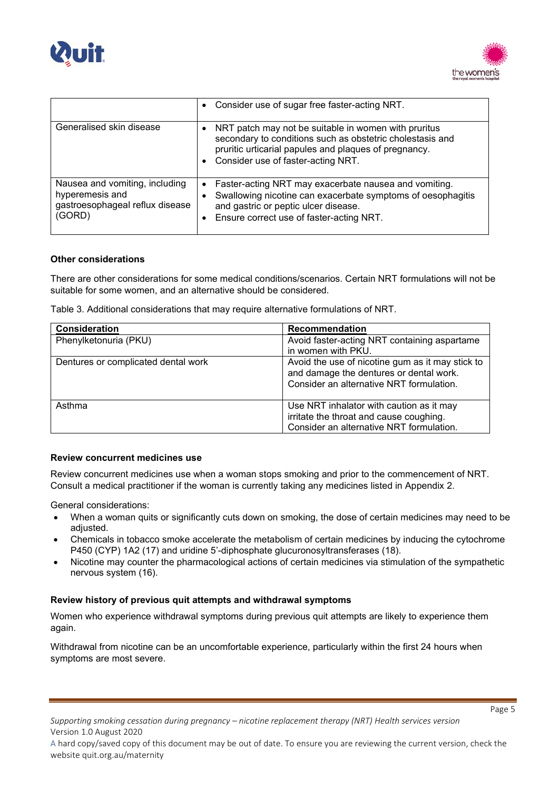



|                                                                                                | • Consider use of sugar free faster-acting NRT.                                                                                                                                                                       |
|------------------------------------------------------------------------------------------------|-----------------------------------------------------------------------------------------------------------------------------------------------------------------------------------------------------------------------|
| Generalised skin disease                                                                       | NRT patch may not be suitable in women with pruritus<br>secondary to conditions such as obstetric cholestasis and<br>pruritic urticarial papules and plaques of pregnancy.<br>Consider use of faster-acting NRT.      |
| Nausea and vomiting, including<br>hyperemesis and<br>gastroesophageal reflux disease<br>(GORD) | Faster-acting NRT may exacerbate nausea and vomiting.<br>$\bullet$<br>Swallowing nicotine can exacerbate symptoms of oesophagitis<br>and gastric or peptic ulcer disease.<br>Ensure correct use of faster-acting NRT. |

#### **Other considerations**

There are other considerations for some medical conditions/scenarios. Certain NRT formulations will not be suitable for some women, and an alternative should be considered.

Table 3. Additional considerations that may require alternative formulations of NRT.

| Consideration                       | Recommendation                                                                                                                          |
|-------------------------------------|-----------------------------------------------------------------------------------------------------------------------------------------|
| Phenylketonuria (PKU)               | Avoid faster-acting NRT containing aspartame                                                                                            |
|                                     | in women with PKU.                                                                                                                      |
| Dentures or complicated dental work | Avoid the use of nicotine gum as it may stick to<br>and damage the dentures or dental work.<br>Consider an alternative NRT formulation. |
| Asthma                              | Use NRT inhalator with caution as it may<br>irritate the throat and cause coughing.<br>Consider an alternative NRT formulation.         |

#### **Review concurrent medicines use**

Review concurrent medicines use when a woman stops smoking and prior to the commencement of NRT. Consult a medical practitioner if the woman is currently taking any medicines listed in Appendix 2.

General considerations:

- When a woman quits or significantly cuts down on smoking, the dose of certain medicines may need to be adjusted.
- Chemicals in tobacco smoke accelerate the metabolism of certain medicines by inducing the cytochrome P450 (CYP) 1A2 (17) and uridine 5'-diphosphate glucuronosyltransferases (18).
- Nicotine may counter the pharmacological actions of certain medicines via stimulation of the sympathetic nervous system (16).

#### **Review history of previous quit attempts and withdrawal symptoms**

Women who experience withdrawal symptoms during previous quit attempts are likely to experience them again.

Withdrawal from nicotine can be an uncomfortable experience, particularly within the first 24 hours when symptoms are most severe.

Page 5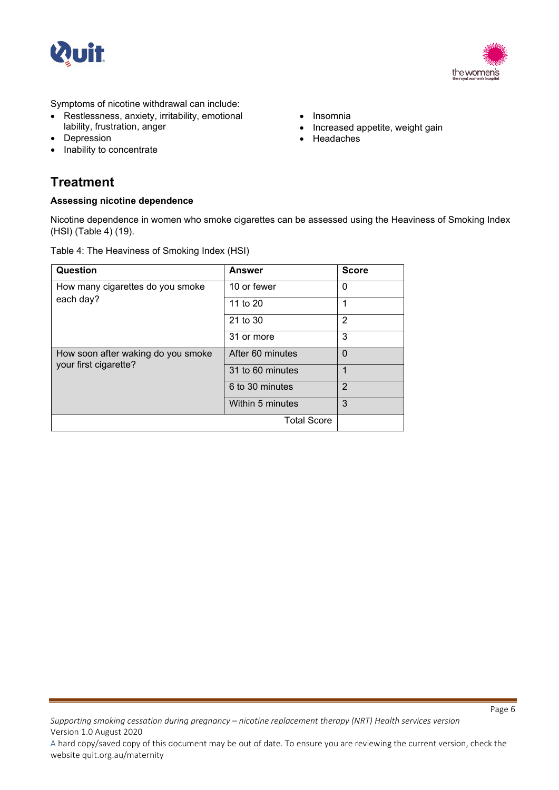



Symptoms of nicotine withdrawal can include:

- Restlessness, anxiety, irritability, emotional lability, frustration, anger
- **Depression**
- Inability to concentrate

## • Insomnia

- Increased appetite, weight gain
- Headaches

## **Treatment**

## **Assessing nicotine dependence**

Nicotine dependence in women who smoke cigarettes can be assessed using the Heaviness of Smoking Index (HSI) (Table 4) (19).

Table 4: The Heaviness of Smoking Index (HSI)

| Question                                                    | <b>Answer</b>      | <b>Score</b>   |
|-------------------------------------------------------------|--------------------|----------------|
| How many cigarettes do you smoke                            | 10 or fewer        | 0              |
| each day?                                                   | 11 to 20           | 1              |
|                                                             | 21 to 30           | $\overline{2}$ |
|                                                             | 31 or more         | 3              |
| How soon after waking do you smoke<br>your first cigarette? | After 60 minutes   | $\Omega$       |
|                                                             | 31 to 60 minutes   | 1              |
|                                                             | 6 to 30 minutes    | $\overline{2}$ |
|                                                             | Within 5 minutes   | 3              |
|                                                             | <b>Total Score</b> |                |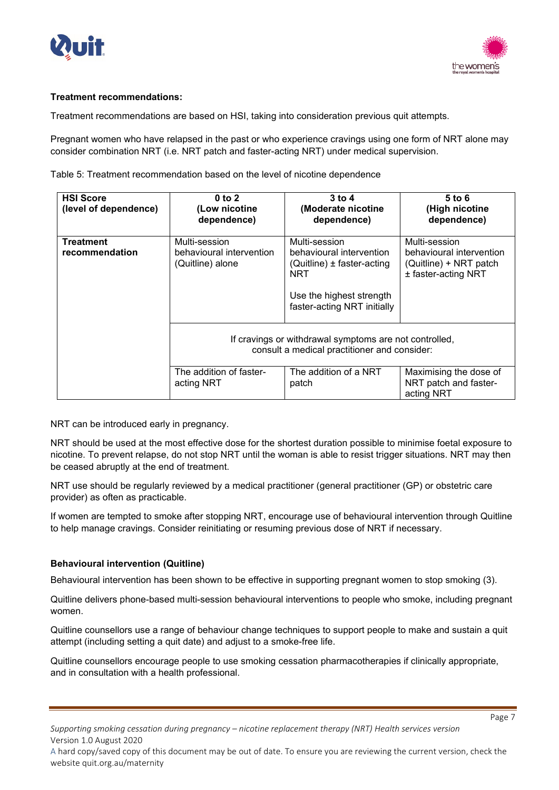



## **Treatment recommendations:**

Treatment recommendations are based on HSI, taking into consideration previous quit attempts.

Pregnant women who have relapsed in the past or who experience cravings using one form of NRT alone may consider combination NRT (i.e. NRT patch and faster-acting NRT) under medical supervision.

Table 5: Treatment recommendation based on the level of nicotine dependence

| <b>HSI Score</b><br>(level of dependence) | $0$ to $2$<br>(Low nicotine<br>dependence)                    | $3$ to 4<br>(Moderate nicotine<br>dependence)                                                                                                 | $5$ to $6$<br>(High nicotine<br>dependence)                                                |
|-------------------------------------------|---------------------------------------------------------------|-----------------------------------------------------------------------------------------------------------------------------------------------|--------------------------------------------------------------------------------------------|
| <b>Treatment</b><br>recommendation        | Multi-session<br>behavioural intervention<br>(Quitline) alone | Multi-session<br>behavioural intervention<br>(Quitline) $\pm$ faster-acting<br>NRT<br>Use the highest strength<br>faster-acting NRT initially | Multi-session<br>behavioural intervention<br>(Quitline) + NRT patch<br>± faster-acting NRT |
|                                           |                                                               | If cravings or withdrawal symptoms are not controlled,<br>consult a medical practitioner and consider:                                        |                                                                                            |
|                                           | The addition of faster-<br>acting NRT                         | The addition of a NRT<br>patch                                                                                                                | Maximising the dose of<br>NRT patch and faster-<br>acting NRT                              |

NRT can be introduced early in pregnancy.

NRT should be used at the most effective dose for the shortest duration possible to minimise foetal exposure to nicotine. To prevent relapse, do not stop NRT until the woman is able to resist trigger situations. NRT may then be ceased abruptly at the end of treatment.

NRT use should be regularly reviewed by a medical practitioner (general practitioner (GP) or obstetric care provider) as often as practicable.

If women are tempted to smoke after stopping NRT, encourage use of behavioural intervention through Quitline to help manage cravings. Consider reinitiating or resuming previous dose of NRT if necessary.

## **Behavioural intervention (Quitline)**

Behavioural intervention has been shown to be effective in supporting pregnant women to stop smoking (3).

Quitline delivers phone-based multi-session behavioural interventions to people who smoke, including pregnant women.

Quitline counsellors use a range of behaviour change techniques to support people to make and sustain a quit attempt (including setting a quit date) and adjust to a smoke-free life.

Quitline counsellors encourage people to use smoking cessation pharmacotherapies if clinically appropriate, and in consultation with a health professional.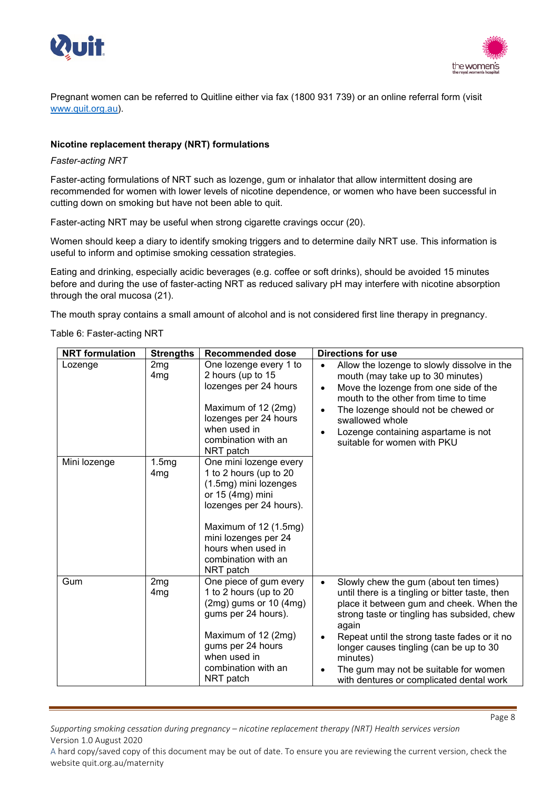



Pregnant women can be referred to Quitline either via fax (1800 931 739) or an online referral form (visit [www.quit.org.au\)](http://www.quit.org.au/).

## **Nicotine replacement therapy (NRT) formulations**

#### *Faster-acting NRT*

Faster-acting formulations of NRT such as lozenge, gum or inhalator that allow intermittent dosing are recommended for women with lower levels of nicotine dependence, or women who have been successful in cutting down on smoking but have not been able to quit.

Faster-acting NRT may be useful when strong cigarette cravings occur (20).

Women should keep a diary to identify smoking triggers and to determine daily NRT use. This information is useful to inform and optimise smoking cessation strategies.

Eating and drinking, especially acidic beverages (e.g. coffee or soft drinks), should be avoided 15 minutes before and during the use of faster-acting NRT as reduced salivary pH may interfere with nicotine absorption through the oral mucosa (21).

The mouth spray contains a small amount of alcohol and is not considered first line therapy in pregnancy.

Table 6: Faster-acting NRT

| <b>NRT</b> formulation | <b>Strengths</b>         | <b>Recommended dose</b>                                                                                                                                                                                                               | <b>Directions for use</b>                                                                                                                                                                                                                                                                                                                                                                             |
|------------------------|--------------------------|---------------------------------------------------------------------------------------------------------------------------------------------------------------------------------------------------------------------------------------|-------------------------------------------------------------------------------------------------------------------------------------------------------------------------------------------------------------------------------------------------------------------------------------------------------------------------------------------------------------------------------------------------------|
| Lozenge                | 2mg<br>4 <sub>mg</sub>   | One lozenge every 1 to<br>2 hours (up to 15<br>lozenges per 24 hours<br>Maximum of 12 (2mg)<br>lozenges per 24 hours<br>when used in<br>combination with an<br>NRT patch                                                              | Allow the lozenge to slowly dissolve in the<br>mouth (may take up to 30 minutes)<br>Move the lozenge from one side of the<br>mouth to the other from time to time<br>The lozenge should not be chewed or<br>swallowed whole<br>Lozenge containing aspartame is not<br>suitable for women with PKU                                                                                                     |
| Mini lozenge           | 1.5mg<br>4 <sub>mg</sub> | One mini lozenge every<br>1 to 2 hours (up to 20<br>(1.5mg) mini lozenges<br>or $15$ (4mg) mini<br>lozenges per 24 hours).<br>Maximum of 12 (1.5mg)<br>mini lozenges per 24<br>hours when used in<br>combination with an<br>NRT patch |                                                                                                                                                                                                                                                                                                                                                                                                       |
| Gum                    | 2mg<br>4mg               | One piece of gum every<br>1 to 2 hours (up to 20<br>$(2mg)$ gums or 10 $(4mg)$<br>gums per 24 hours).<br>Maximum of 12 (2mg)<br>gums per 24 hours<br>when used in<br>combination with an<br>NRT patch                                 | Slowly chew the gum (about ten times)<br>$\bullet$<br>until there is a tingling or bitter taste, then<br>place it between gum and cheek. When the<br>strong taste or tingling has subsided, chew<br>again<br>Repeat until the strong taste fades or it no<br>longer causes tingling (can be up to 30<br>minutes)<br>The gum may not be suitable for women<br>with dentures or complicated dental work |

*Supporting smoking cessation during pregnancy – nicotine replacement therapy (NRT) Health services version*  Version 1.0 August 2020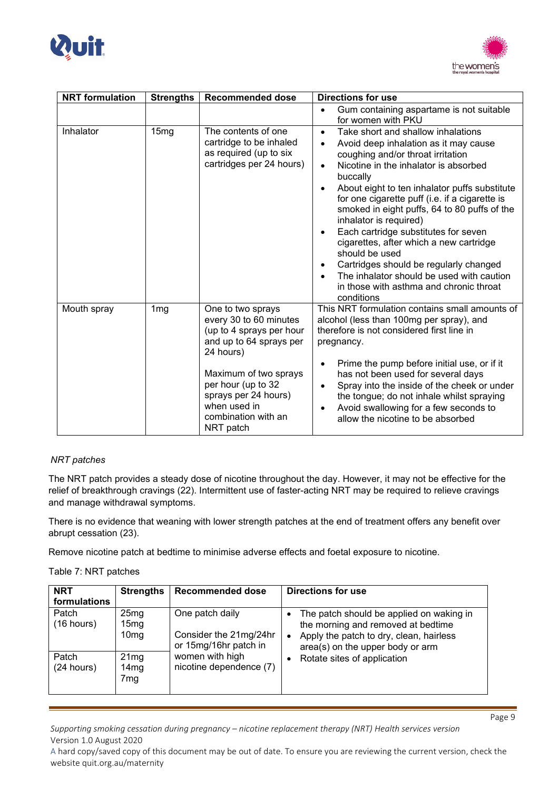



| <b>NRT</b> formulation | <b>Strengths</b> | <b>Recommended dose</b>                                                                                                                                                                                                                    | <b>Directions for use</b>                                                                                                                                                                                                                                                                                                                                                                                                                                                                                                                                                                                                                      |  |
|------------------------|------------------|--------------------------------------------------------------------------------------------------------------------------------------------------------------------------------------------------------------------------------------------|------------------------------------------------------------------------------------------------------------------------------------------------------------------------------------------------------------------------------------------------------------------------------------------------------------------------------------------------------------------------------------------------------------------------------------------------------------------------------------------------------------------------------------------------------------------------------------------------------------------------------------------------|--|
|                        |                  |                                                                                                                                                                                                                                            | Gum containing aspartame is not suitable                                                                                                                                                                                                                                                                                                                                                                                                                                                                                                                                                                                                       |  |
|                        |                  |                                                                                                                                                                                                                                            | for women with PKU                                                                                                                                                                                                                                                                                                                                                                                                                                                                                                                                                                                                                             |  |
| Inhalator              | 15 <sub>mg</sub> | The contents of one<br>cartridge to be inhaled<br>as required (up to six<br>cartridges per 24 hours)                                                                                                                                       | Take short and shallow inhalations<br>$\bullet$<br>Avoid deep inhalation as it may cause<br>coughing and/or throat irritation<br>Nicotine in the inhalator is absorbed<br>$\bullet$<br>buccally<br>About eight to ten inhalator puffs substitute<br>for one cigarette puff (i.e. if a cigarette is<br>smoked in eight puffs, 64 to 80 puffs of the<br>inhalator is required)<br>Each cartridge substitutes for seven<br>$\bullet$<br>cigarettes, after which a new cartridge<br>should be used<br>Cartridges should be regularly changed<br>The inhalator should be used with caution<br>in those with asthma and chronic throat<br>conditions |  |
| Mouth spray            | 1 <sub>mg</sub>  | One to two sprays<br>every 30 to 60 minutes<br>(up to 4 sprays per hour<br>and up to 64 sprays per<br>24 hours)<br>Maximum of two sprays<br>per hour (up to 32<br>sprays per 24 hours)<br>when used in<br>combination with an<br>NRT patch | This NRT formulation contains small amounts of<br>alcohol (less than 100mg per spray), and<br>therefore is not considered first line in<br>pregnancy.<br>Prime the pump before initial use, or if it<br>has not been used for several days<br>Spray into the inside of the cheek or under<br>$\bullet$<br>the tongue; do not inhale whilst spraying<br>Avoid swallowing for a few seconds to<br>allow the nicotine to be absorbed                                                                                                                                                                                                              |  |

## *NRT patches*

The NRT patch provides a steady dose of nicotine throughout the day. However, it may not be effective for the relief of breakthrough cravings (22). Intermittent use of faster-acting NRT may be required to relieve cravings and manage withdrawal symptoms.

There is no evidence that weaning with lower strength patches at the end of treatment offers any benefit over abrupt cessation (23).

Remove nicotine patch at bedtime to minimise adverse effects and foetal exposure to nicotine.

Table 7: NRT patches

| <b>NRT</b><br>formulations | <b>Strengths</b>                 | <b>Recommended dose</b>                                            | Directions for use                                                                                                                                                              |
|----------------------------|----------------------------------|--------------------------------------------------------------------|---------------------------------------------------------------------------------------------------------------------------------------------------------------------------------|
| Patch<br>(16 hours)        | 25mg<br>15mg<br>10 <sub>mg</sub> | One patch daily<br>Consider the 21mg/24hr<br>or 15mg/16hr patch in | The patch should be applied on waking in<br>$\bullet$<br>the morning and removed at bedtime<br>Apply the patch to dry, clean, hairless<br>٠<br>area(s) on the upper body or arm |
| Patch<br>(24 hours)        | 21mg<br>14mg<br>7mg              | women with high<br>nicotine dependence (7)                         | Rotate sites of application<br>٠                                                                                                                                                |

*Supporting smoking cessation during pregnancy – nicotine replacement therapy (NRT) Health services version*  Version 1.0 August 2020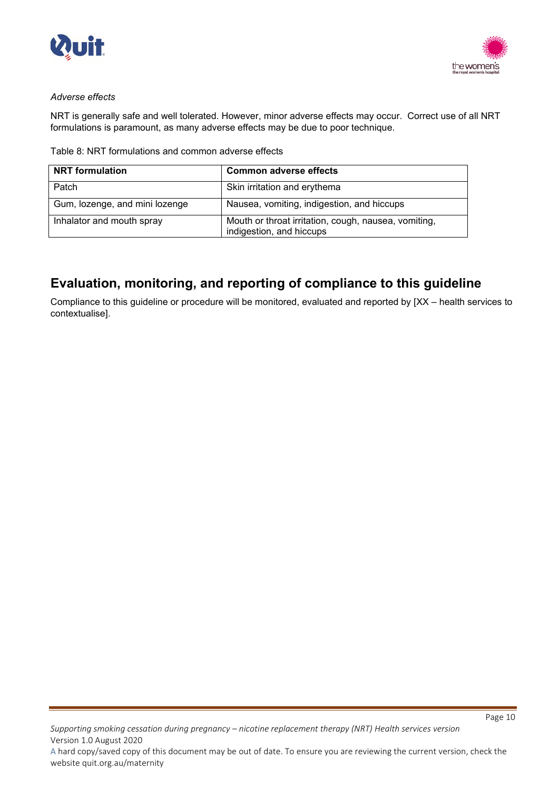



### *Adverse effects*

NRT is generally safe and well tolerated. However, minor adverse effects may occur. Correct use of all NRT formulations is paramount, as many adverse effects may be due to poor technique.

|  | Table 8: NRT formulations and common adverse effects |  |  |  |  |
|--|------------------------------------------------------|--|--|--|--|
|--|------------------------------------------------------|--|--|--|--|

| <b>NRT</b> formulation         | <b>Common adverse effects</b>                                                    |
|--------------------------------|----------------------------------------------------------------------------------|
| Patch                          | Skin irritation and erythema                                                     |
| Gum, lozenge, and mini lozenge | Nausea, vomiting, indigestion, and hiccups                                       |
| Inhalator and mouth spray      | Mouth or throat irritation, cough, nausea, vomiting,<br>indigestion, and hiccups |

# **Evaluation, monitoring, and reporting of compliance to this guideline**

Compliance to this guideline or procedure will be monitored, evaluated and reported by [XX – health services to contextualise].

*Supporting smoking cessation during pregnancy – nicotine replacement therapy (NRT) Health services version*  Version 1.0 August 2020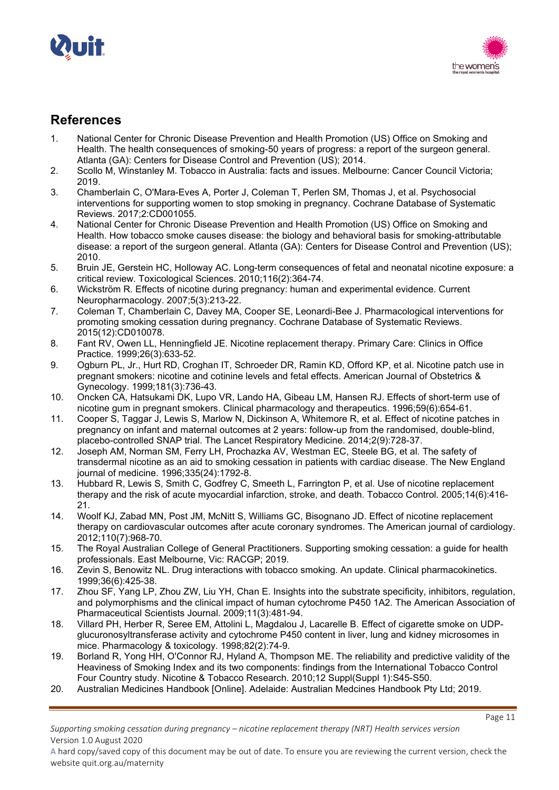



## **References**

- 1. National Center for Chronic Disease Prevention and Health Promotion (US) Office on Smoking and Health. The health consequences of smoking-50 years of progress: a report of the surgeon general. Atlanta (GA): Centers for Disease Control and Prevention (US); 2014.
- 2. Scollo M, Winstanley M. Tobacco in Australia: facts and issues. Melbourne: Cancer Council Victoria; 2019.
- 3. Chamberlain C, O'Mara-Eves A, Porter J, Coleman T, Perlen SM, Thomas J, et al. Psychosocial interventions for supporting women to stop smoking in pregnancy. Cochrane Database of Systematic Reviews. 2017;2:CD001055.
- 4. National Center for Chronic Disease Prevention and Health Promotion (US) Office on Smoking and Health. How tobacco smoke causes disease: the biology and behavioral basis for smoking-attributable disease: a report of the surgeon general. Atlanta (GA): Centers for Disease Control and Prevention (US); 2010.
- 5. Bruin JE, Gerstein HC, Holloway AC. Long-term consequences of fetal and neonatal nicotine exposure: a critical review. Toxicological Sciences. 2010;116(2):364-74.
- 6. Wickström R. Effects of nicotine during pregnancy: human and experimental evidence. Current Neuropharmacology. 2007;5(3):213-22.
- 7. Coleman T, Chamberlain C, Davey MA, Cooper SE, Leonardi-Bee J. Pharmacological interventions for promoting smoking cessation during pregnancy. Cochrane Database of Systematic Reviews. 2015(12):CD010078.
- 8. Fant RV, Owen LL, Henningfield JE. Nicotine replacement therapy. Primary Care: Clinics in Office Practice. 1999;26(3):633-52.
- 9. Ogburn PL, Jr., Hurt RD, Croghan IT, Schroeder DR, Ramin KD, Offord KP, et al. Nicotine patch use in pregnant smokers: nicotine and cotinine levels and fetal effects. American Journal of Obstetrics & Gynecology. 1999;181(3):736-43.
- 10. Oncken CA, Hatsukami DK, Lupo VR, Lando HA, Gibeau LM, Hansen RJ. Effects of short-term use of nicotine gum in pregnant smokers. Clinical pharmacology and therapeutics. 1996;59(6):654-61.
- 11. Cooper S, Taggar J, Lewis S, Marlow N, Dickinson A, Whitemore R, et al. Effect of nicotine patches in pregnancy on infant and maternal outcomes at 2 years: follow-up from the randomised, double-blind, placebo-controlled SNAP trial. The Lancet Respiratory Medicine. 2014;2(9):728-37.
- 12. Joseph AM, Norman SM, Ferry LH, Prochazka AV, Westman EC, Steele BG, et al. The safety of transdermal nicotine as an aid to smoking cessation in patients with cardiac disease. The New England journal of medicine. 1996;335(24):1792-8.
- 13. Hubbard R, Lewis S, Smith C, Godfrey C, Smeeth L, Farrington P, et al. Use of nicotine replacement therapy and the risk of acute myocardial infarction, stroke, and death. Tobacco Control. 2005;14(6):416- 21.
- 14. Woolf KJ, Zabad MN, Post JM, McNitt S, Williams GC, Bisognano JD. Effect of nicotine replacement therapy on cardiovascular outcomes after acute coronary syndromes. The American journal of cardiology. 2012;110(7):968-70.
- 15. The Royal Australian College of General Practitioners. Supporting smoking cessation: a guide for health professionals. East Melbourne, Vic: RACGP; 2019.
- 16. Zevin S, Benowitz NL. Drug interactions with tobacco smoking. An update. Clinical pharmacokinetics. 1999;36(6):425-38.
- 17. Zhou SF, Yang LP, Zhou ZW, Liu YH, Chan E. Insights into the substrate specificity, inhibitors, regulation, and polymorphisms and the clinical impact of human cytochrome P450 1A2. The American Association of Pharmaceutical Scientists Journal. 2009;11(3):481-94.
- 18. Villard PH, Herber R, Seree EM, Attolini L, Magdalou J, Lacarelle B. Effect of cigarette smoke on UDPglucuronosyltransferase activity and cytochrome P450 content in liver, lung and kidney microsomes in mice. Pharmacology & toxicology. 1998;82(2):74-9.
- 19. Borland R, Yong HH, O'Connor RJ, Hyland A, Thompson ME. The reliability and predictive validity of the Heaviness of Smoking Index and its two components: findings from the International Tobacco Control Four Country study. Nicotine & Tobacco Research. 2010;12 Suppl(Suppl 1):S45-S50.
- 20. Australian Medicines Handbook [Online]. Adelaide: Australian Medcines Handbook Pty Ltd; 2019.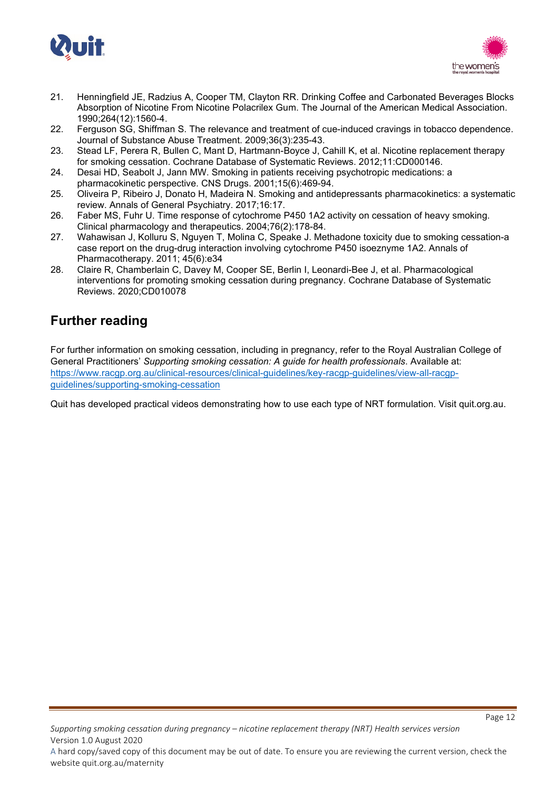



- 21. Henningfield JE, Radzius A, Cooper TM, Clayton RR. Drinking Coffee and Carbonated Beverages Blocks Absorption of Nicotine From Nicotine Polacrilex Gum. The Journal of the American Medical Association. 1990;264(12):1560-4.
- 22. Ferguson SG, Shiffman S. The relevance and treatment of cue-induced cravings in tobacco dependence. Journal of Substance Abuse Treatment. 2009;36(3):235-43.
- 23. Stead LF, Perera R, Bullen C, Mant D, Hartmann-Boyce J, Cahill K, et al. Nicotine replacement therapy for smoking cessation. Cochrane Database of Systematic Reviews. 2012;11:CD000146.
- 24. Desai HD, Seabolt J, Jann MW. Smoking in patients receiving psychotropic medications: a pharmacokinetic perspective. CNS Drugs. 2001;15(6):469-94.
- 25. Oliveira P, Ribeiro J, Donato H, Madeira N. Smoking and antidepressants pharmacokinetics: a systematic review. Annals of General Psychiatry. 2017;16:17.
- 26. Faber MS, Fuhr U. Time response of cytochrome P450 1A2 activity on cessation of heavy smoking. Clinical pharmacology and therapeutics. 2004;76(2):178-84.
- 27. Wahawisan J, Kolluru S, Nguyen T, Molina C, Speake J. Methadone toxicity due to smoking cessation-a case report on the drug-drug interaction involving cytochrome P450 isoeznyme 1A2. Annals of Pharmacotherapy. 2011; 45(6):e34
- 28. Claire R, Chamberlain C, Davey M, Cooper SE, Berlin I, Leonardi-Bee J, et al. Pharmacological interventions for promoting smoking cessation during pregnancy. Cochrane Database of Systematic Reviews. 2020;CD010078

# **Further reading**

For further information on smoking cessation, including in pregnancy, refer to the Royal Australian College of General Practitioners' *Supporting smoking cessation: A guide for health professionals*. Available at: [https://www.racgp.org.au/clinical-resources/clinical-guidelines/key-racgp-guidelines/view-all-racgp](https://www.racgp.org.au/clinical-resources/clinical-guidelines/key-racgp-guidelines/view-all-racgp-guidelines/supporting-smoking-cessation)[guidelines/supporting-smoking-cessation](https://www.racgp.org.au/clinical-resources/clinical-guidelines/key-racgp-guidelines/view-all-racgp-guidelines/supporting-smoking-cessation)

Quit has developed practical videos demonstrating how to use each type of NRT formulation. Visit quit.org.au.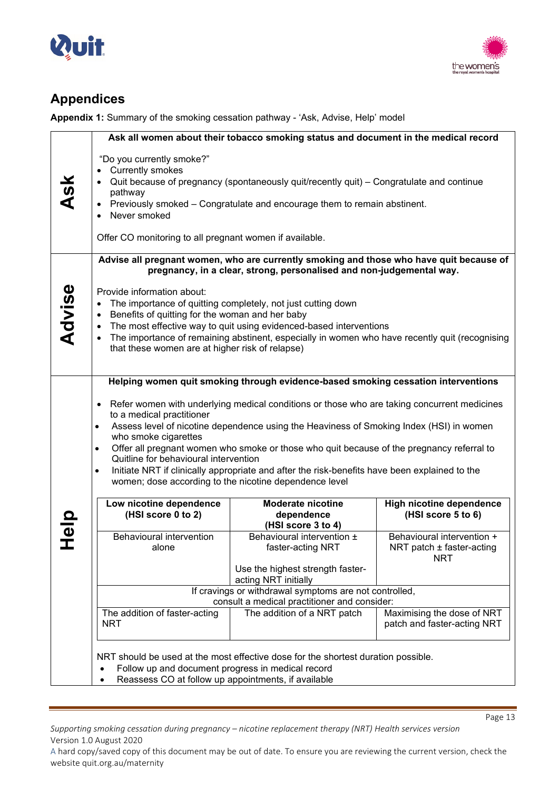



# **Appendices**

**Appendix 1:** Summary of the smoking cessation pathway - 'Ask, Advise, Help' model

|             |                                                                                                                                                                                                                                                                                                                                                                                                                                                                                                               | Ask all women about their tobacco smoking status and document in the medical record                                                                                                                                                  |                                                                |  |
|-------------|---------------------------------------------------------------------------------------------------------------------------------------------------------------------------------------------------------------------------------------------------------------------------------------------------------------------------------------------------------------------------------------------------------------------------------------------------------------------------------------------------------------|--------------------------------------------------------------------------------------------------------------------------------------------------------------------------------------------------------------------------------------|----------------------------------------------------------------|--|
| <b>Ask</b>  | "Do you currently smoke?"<br>• Currently smokes<br>pathway<br>$\bullet$<br>Never smoked<br>Offer CO monitoring to all pregnant women if available.                                                                                                                                                                                                                                                                                                                                                            | Quit because of pregnancy (spontaneously quit/recently quit) – Congratulate and continue<br>Previously smoked - Congratulate and encourage them to remain abstinent.                                                                 |                                                                |  |
|             |                                                                                                                                                                                                                                                                                                                                                                                                                                                                                                               | Advise all pregnant women, who are currently smoking and those who have quit because of<br>pregnancy, in a clear, strong, personalised and non-judgemental way.                                                                      |                                                                |  |
| Advise      | Provide information about:<br>Benefits of quitting for the woman and her baby<br>$\bullet$<br>that these women are at higher risk of relapse)                                                                                                                                                                                                                                                                                                                                                                 | The importance of quitting completely, not just cutting down<br>The most effective way to quit using evidenced-based interventions<br>The importance of remaining abstinent, especially in women who have recently quit (recognising |                                                                |  |
|             | Helping women quit smoking through evidence-based smoking cessation interventions<br>Refer women with underlying medical conditions or those who are taking concurrent medicines<br>$\bullet$<br>to a medical practitioner<br>Assess level of nicotine dependence using the Heaviness of Smoking Index (HSI) in women<br>$\bullet$<br>who smoke cigarettes<br>Offer all pregnant women who smoke or those who quit because of the pregnancy referral to<br>$\bullet$<br>Quitline for behavioural intervention |                                                                                                                                                                                                                                      |                                                                |  |
|             | Initiate NRT if clinically appropriate and after the risk-benefits have been explained to the<br>$\bullet$<br>women; dose according to the nicotine dependence level                                                                                                                                                                                                                                                                                                                                          |                                                                                                                                                                                                                                      |                                                                |  |
| <b>Help</b> | Low nicotine dependence<br>(HSI score 0 to 2)                                                                                                                                                                                                                                                                                                                                                                                                                                                                 | <b>Moderate nicotine</b><br>dependence<br>(HSI score 3 to 4)                                                                                                                                                                         | High nicotine dependence<br>(HSI score 5 to 6)                 |  |
|             | Behavioural intervention<br>alone                                                                                                                                                                                                                                                                                                                                                                                                                                                                             | Behavioural intervention ±<br>faster-acting NRT                                                                                                                                                                                      | Behavioural intervention +<br>NRT patch ± faster-acting<br>NRT |  |
|             |                                                                                                                                                                                                                                                                                                                                                                                                                                                                                                               | Use the highest strength faster-<br>acting NRT initially                                                                                                                                                                             |                                                                |  |
|             | If cravings or withdrawal symptoms are not controlled,<br>consult a medical practitioner and consider:                                                                                                                                                                                                                                                                                                                                                                                                        |                                                                                                                                                                                                                                      |                                                                |  |
|             | The addition of faster-acting                                                                                                                                                                                                                                                                                                                                                                                                                                                                                 | The addition of a NRT patch                                                                                                                                                                                                          | Maximising the dose of NRT                                     |  |
|             | <b>NRT</b>                                                                                                                                                                                                                                                                                                                                                                                                                                                                                                    |                                                                                                                                                                                                                                      | patch and faster-acting NRT                                    |  |
|             | Follow up and document progress in medical record                                                                                                                                                                                                                                                                                                                                                                                                                                                             | NRT should be used at the most effective dose for the shortest duration possible.                                                                                                                                                    |                                                                |  |
|             | Reassess CO at follow up appointments, if available                                                                                                                                                                                                                                                                                                                                                                                                                                                           |                                                                                                                                                                                                                                      |                                                                |  |

*Supporting smoking cessation during pregnancy – nicotine replacement therapy (NRT) Health services version*  Version 1.0 August 2020

Page 13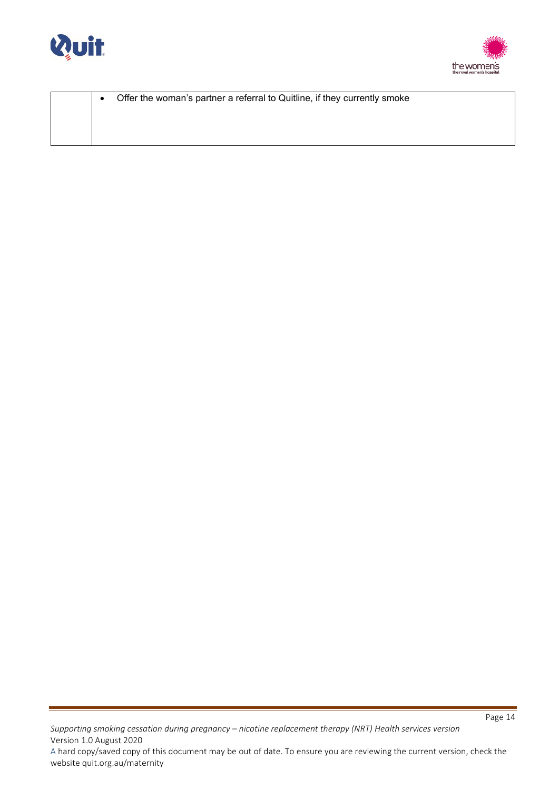



| Offer the woman's partner a referral to Quitline, if they currently smoke<br>$\bullet$ |  |  |
|----------------------------------------------------------------------------------------|--|--|
|                                                                                        |  |  |
|                                                                                        |  |  |
|                                                                                        |  |  |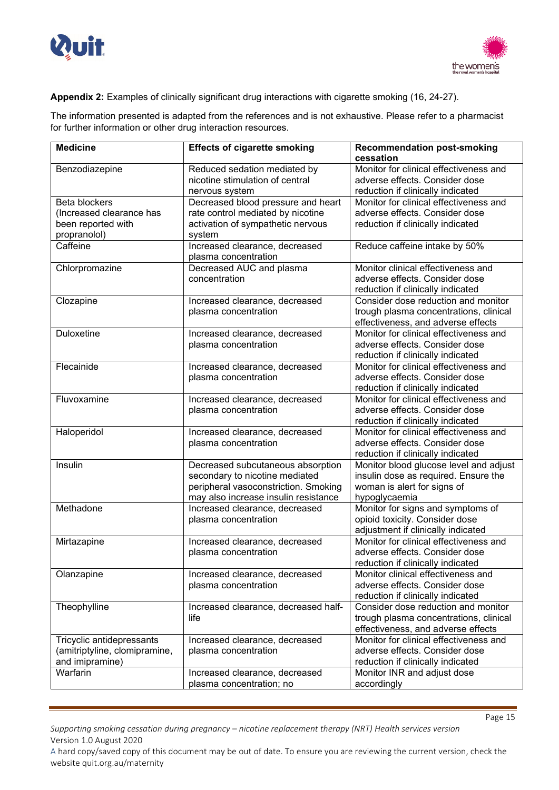



## **Appendix 2:** Examples of clinically significant drug interactions with cigarette smoking (16, 24-27).

The information presented is adapted from the references and is not exhaustive. Please refer to a pharmacist for further information or other drug interaction resources.

| <b>Medicine</b>                                                                 | <b>Effects of cigarette smoking</b>                                                                                                                 | <b>Recommendation post-smoking</b><br>cessation                                                                                |
|---------------------------------------------------------------------------------|-----------------------------------------------------------------------------------------------------------------------------------------------------|--------------------------------------------------------------------------------------------------------------------------------|
| Benzodiazepine                                                                  | Reduced sedation mediated by<br>nicotine stimulation of central<br>nervous system                                                                   | Monitor for clinical effectiveness and<br>adverse effects. Consider dose<br>reduction if clinically indicated                  |
| Beta blockers<br>(Increased clearance has<br>been reported with<br>propranolol) | Decreased blood pressure and heart<br>rate control mediated by nicotine<br>activation of sympathetic nervous<br>system                              | Monitor for clinical effectiveness and<br>adverse effects. Consider dose<br>reduction if clinically indicated                  |
| Caffeine                                                                        | Increased clearance, decreased<br>plasma concentration                                                                                              | Reduce caffeine intake by 50%                                                                                                  |
| Chlorpromazine                                                                  | Decreased AUC and plasma<br>concentration                                                                                                           | Monitor clinical effectiveness and<br>adverse effects. Consider dose<br>reduction if clinically indicated                      |
| Clozapine                                                                       | Increased clearance, decreased<br>plasma concentration                                                                                              | Consider dose reduction and monitor<br>trough plasma concentrations, clinical<br>effectiveness, and adverse effects            |
| Duloxetine                                                                      | Increased clearance, decreased<br>plasma concentration                                                                                              | Monitor for clinical effectiveness and<br>adverse effects. Consider dose<br>reduction if clinically indicated                  |
| Flecainide                                                                      | Increased clearance, decreased<br>plasma concentration                                                                                              | Monitor for clinical effectiveness and<br>adverse effects. Consider dose<br>reduction if clinically indicated                  |
| Fluvoxamine                                                                     | Increased clearance, decreased<br>plasma concentration                                                                                              | Monitor for clinical effectiveness and<br>adverse effects. Consider dose<br>reduction if clinically indicated                  |
| Haloperidol                                                                     | Increased clearance, decreased<br>plasma concentration                                                                                              | Monitor for clinical effectiveness and<br>adverse effects. Consider dose<br>reduction if clinically indicated                  |
| Insulin                                                                         | Decreased subcutaneous absorption<br>secondary to nicotine mediated<br>peripheral vasoconstriction. Smoking<br>may also increase insulin resistance | Monitor blood glucose level and adjust<br>insulin dose as required. Ensure the<br>woman is alert for signs of<br>hypoglycaemia |
| Methadone                                                                       | Increased clearance, decreased<br>plasma concentration                                                                                              | Monitor for signs and symptoms of<br>opioid toxicity. Consider dose<br>adjustment if clinically indicated                      |
| Mirtazapine                                                                     | Increased clearance, decreased<br>plasma concentration                                                                                              | Monitor for clinical effectiveness and<br>adverse effects. Consider dose<br>reduction if clinically indicated                  |
| Olanzapine                                                                      | Increased clearance, decreased<br>plasma concentration                                                                                              | Monitor clinical effectiveness and<br>adverse effects. Consider dose<br>reduction if clinically indicated                      |
| Theophylline                                                                    | Increased clearance, decreased half-<br>life                                                                                                        | Consider dose reduction and monitor<br>trough plasma concentrations, clinical<br>effectiveness, and adverse effects            |
| Tricyclic antidepressants<br>(amitriptyline, clomipramine,<br>and imipramine)   | Increased clearance, decreased<br>plasma concentration                                                                                              | Monitor for clinical effectiveness and<br>adverse effects. Consider dose<br>reduction if clinically indicated                  |
| Warfarin                                                                        | Increased clearance, decreased<br>plasma concentration; no                                                                                          | Monitor INR and adjust dose<br>accordingly                                                                                     |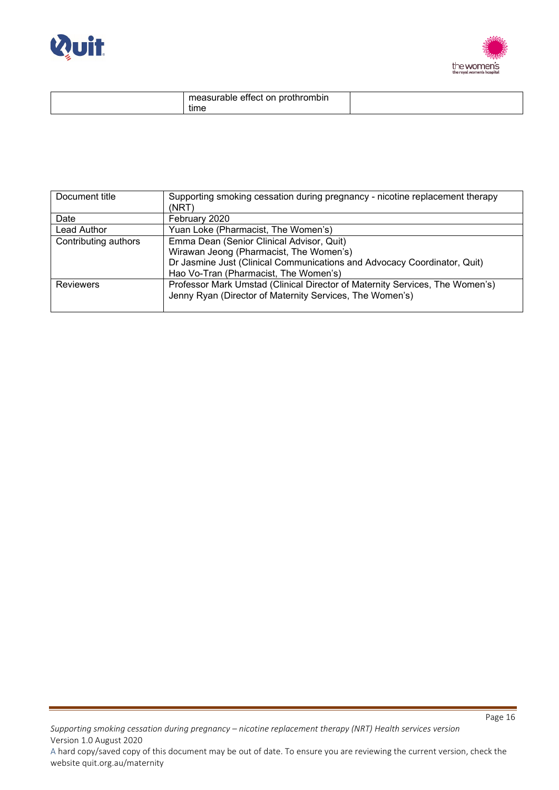



| $-1$<br>monourabl <sub>i</sub><br>.<br>pro<br>on<br>-<br>епест<br>anie<br>rothrompin<br>.45UE |  |
|-----------------------------------------------------------------------------------------------|--|
| . .<br>time                                                                                   |  |

| Document title       | Supporting smoking cessation during pregnancy - nicotine replacement therapy |
|----------------------|------------------------------------------------------------------------------|
|                      | (NRT)                                                                        |
| Date                 | February 2020                                                                |
| Lead Author          | Yuan Loke (Pharmacist, The Women's)                                          |
| Contributing authors | Emma Dean (Senior Clinical Advisor, Quit)                                    |
|                      | Wirawan Jeong (Pharmacist, The Women's)                                      |
|                      | Dr Jasmine Just (Clinical Communications and Advocacy Coordinator, Quit)     |
|                      | Hao Vo-Tran (Pharmacist, The Women's)                                        |
| <b>Reviewers</b>     | Professor Mark Umstad (Clinical Director of Maternity Services, The Women's) |
|                      | Jenny Ryan (Director of Maternity Services, The Women's)                     |
|                      |                                                                              |

website quit.org.au/maternity